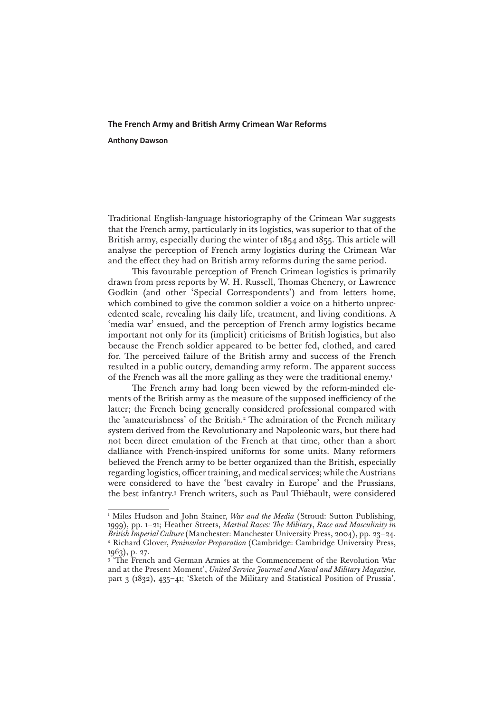# **The French Army and British Army Crimean War Reforms**

**Anthony Dawson**

Traditional English-language historiography of the Crimean War suggests that the French army, particularly in its logistics, was superior to that of the British army, especially during the winter of 1854 and 1855. This article will analyse the perception of French army logistics during the Crimean War and the effect they had on British army reforms during the same period.

This favourable perception of French Crimean logistics is primarily drawn from press reports by W. H. Russell, Thomas Chenery, or Lawrence Godkin (and other 'Special Correspondents') and from letters home, which combined to give the common soldier a voice on a hitherto unprecedented scale, revealing his daily life, treatment, and living conditions. A 'media war' ensued, and the perception of French army logistics became important not only for its (implicit) criticisms of British logistics, but also because the French soldier appeared to be better fed, clothed, and cared for. The perceived failure of the British army and success of the French resulted in a public outcry, demanding army reform. The apparent success of the French was all the more galling as they were the traditional enemy.<sup>1</sup>

The French army had long been viewed by the reform-minded elements of the British army as the measure of the supposed inefficiency of the latter; the French being generally considered professional compared with the 'amateurishness' of the British.<sup>2</sup> The admiration of the French military system derived from the Revolutionary and Napoleonic wars, but there had not been direct emulation of the French at that time, other than a short dalliance with French-inspired uniforms for some units. Many reformers believed the French army to be better organized than the British, especially regarding logistics, officer training, and medical services; while the Austrians were considered to have the 'best cavalry in Europe' and the Prussians, the best infantry.3 French writers, such as Paul Thiébault, were considered

<sup>&</sup>lt;sup>1</sup> Miles Hudson and John Stainer, *War and the Media* (Stroud: Sutton Publishing, 1999), pp. 1–21; Heather Streets, *Martial Races: The Military*, *Race and Masculinity in British Imperial Culture* (Manchester: Manchester University Press, 2004), pp. 23–24. 2 Richard Glover, *Peninsular Preparation* (Cambridge: Cambridge University Press, 1963), p. 27.

<sup>&</sup>lt;sup>3</sup> 'The French and German Armies at the Commencement of the Revolution War and at the Present Moment', *United Service Journal and Naval and Military Magazine*, part 3 (1832), 435–41; 'Sketch of the Military and Statistical Position of Prussia',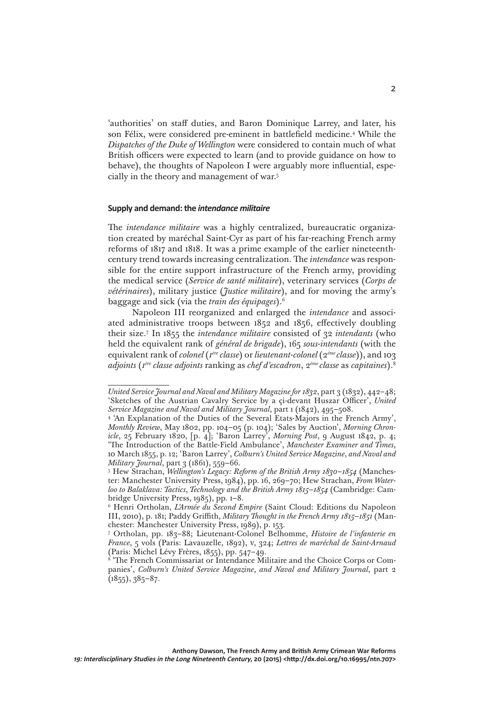'authorities' on staff duties, and Baron Dominique Larrey, and later, his son Félix, were considered pre-eminent in battlefield medicine.4 While the *Dispatches of the Duke of Wellington* were considered to contain much of what British officers were expected to learn (and to provide guidance on how to behave), the thoughts of Napoleon I were arguably more influential, especially in the theory and management of war.5

### **Supply and demand: the** *intendance militaire*

The *intendance militaire* was a highly centralized, bureaucratic organization created by maréchal Saint-Cyr as part of his far-reaching French army reforms of 1817 and 1818. It was a prime example of the earlier nineteenthcentury trend towards increasing centralization. The *intendance* was responsible for the entire support infrastructure of the French army, providing the medical service (*Service de santé militaire*), veterinary services (*Corps de vétérinaires*), military justice (*Justice militaire*), and for moving the army's baggage and sick (via the *train des équipages*).6

Napoleon III reorganized and enlarged the *intendance* and associated administrative troops between 1852 and 1856, effectively doubling their size.7 In 1855 the *intendance militaire* consisted of 32 *intendants* (who held the equivalent rank of *général de brigade*), 165 *sous-intendants* (with the equivalent rank of *colonel* (*1ère classe*) or *lieutenant-colonel* (2*ème classe*)), and 103 *adjoints* (*1ère classe adjoints* ranking as *chef d'escadron*, 2*ème classe* as *capitaines*).8

*United Service Journal and Naval and Military Magazine for 1832*, part 3 (1832), 442–48; 'Sketches of the Austrian Cavalry Service by a çi-devant Huszar Officer', *United Service Magazine and Naval and Military Journal*, part 1 (1842), 495–508.

<sup>&</sup>lt;sup>4</sup> 'An Explanation of the Duties of the Several Etats-Majors in the French Army', *Monthly Review*, May 1802, pp. 104–05 (p. 104); 'Sales by Auction', *Morning Chronicle*, 25 February 1820, [p. 4]; 'Baron Larrey', *Morning Post*, 9 August 1842, p. 4; 'The Introduction of the Battle-Field Ambulance', *Manchester Examiner and Times*, 10 March 1855, p. 12; 'Baron Larrey', *Colburn's United Service Magazine*, *and Naval and Military Journal*, part 3 (1861), 559-66.

<sup>&</sup>lt;sup>5</sup> Hew Strachan, *Wellington's Legacy: Reform of the British Army 1830–1854* (Manchester: Manchester University Press, 1984), pp. 16, 269–70; Hew Strachan, *From Waterloo to Balaklava: Tactics*, *Technology and the British Army 1815–1854* (Cambridge: Cambridge University Press, 1985), pp. 1–8.

<sup>6</sup> Henri Ortholan, *L'Armée du Second Empire* (Saint Cloud: Editions du Napoleon III, 2010), p. 181; Paddy Griffith, *Military Thought in the French Army 1815–1851* (Manchester: Manchester University Press, 1989), p. 153.

<sup>7</sup> Ortholan, pp. 183–88; Lieutenant-Colonel Belhomme, *Histoire de l'infanterie en France*, 5 vols (Paris: Lavauzelle, 1892), v, 324; *Lettres de maréchal de Saint-Arnaud*  (Paris: Michel Lévy Frères, 1855), pp. 547–49.

<sup>8</sup> 'The French Commissariat or Intendance Militaire and the Choice Corps or Companies', *Colburn's United Service Magazine*, *and Naval and Military Journal*, part 2  $(1855), 385-87.$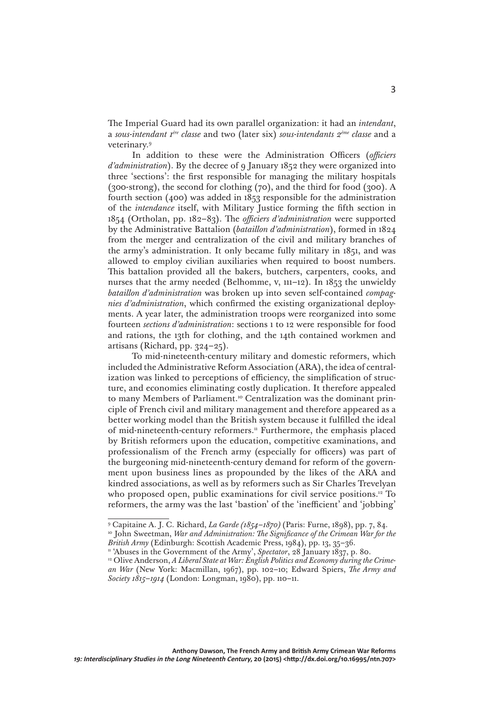The Imperial Guard had its own parallel organization: it had an *intendant*, a *sous-intendant 1ère classe* and two (later six) *sous-intendants 2ème classe* and a veterinary.9

In addition to these were the Administration Officers (*officiers d'administration*). By the decree of 9 January 1852 they were organized into three 'sections': the first responsible for managing the military hospitals (300-strong), the second for clothing (70), and the third for food (300). A fourth section (400) was added in 1853 responsible for the administration of the *intendance* itself, with Military Justice forming the fifth section in 1854 (Ortholan, pp. 182–83). The *officiers d'administration* were supported by the Administrative Battalion (*bataillon d'administration*), formed in 1824 from the merger and centralization of the civil and military branches of the army's administration. It only became fully military in 1851, and was allowed to employ civilian auxiliaries when required to boost numbers. This battalion provided all the bakers, butchers, carpenters, cooks, and nurses that the army needed (Belhomme, v, 111–12). In 1853 the unwieldy *bataillon d'administration* was broken up into seven self-contained *compagnies d'administration*, which confirmed the existing organizational deployments. A year later, the administration troops were reorganized into some fourteen *sections d'administration*: sections 1 to 12 were responsible for food and rations, the 13th for clothing, and the 14th contained workmen and artisans (Richard, pp. 324–25).

To mid-nineteenth-century military and domestic reformers, which included the Administrative Reform Association (ARA), the idea of centralization was linked to perceptions of efficiency, the simplification of structure, and economies eliminating costly duplication. It therefore appealed to many Members of Parliament.<sup>10</sup> Centralization was the dominant principle of French civil and military management and therefore appeared as a better working model than the British system because it fulfilled the ideal of mid-nineteenth-century reformers.<sup>11</sup> Furthermore, the emphasis placed by British reformers upon the education, competitive examinations, and professionalism of the French army (especially for officers) was part of the burgeoning mid-nineteenth-century demand for reform of the government upon business lines as propounded by the likes of the ARA and kindred associations, as well as by reformers such as Sir Charles Trevelyan who proposed open, public examinations for civil service positions.<sup>12</sup> To reformers, the army was the last 'bastion' of the 'inefficient' and 'jobbing'

<sup>&</sup>lt;sup>9</sup> Capitaine A. J. C. Richard, *La Garde (1854-1870)* (Paris: Furne, 1898), pp. 7, 84.

<sup>&</sup>lt;sup>10</sup> John Sweetman, *War and Administration: The Significance of the Crimean War for the British Army* (Edinburgh: Scottish Academic Press, 1984), pp. 13, 35–36.

<sup>&</sup>lt;sup>11</sup> 'Abuses in the Government of the Army', *Spectator*, 28 January 1837, p. 80.

<sup>&</sup>lt;sup>12</sup> Olive Anderson, *A Liberal State at War: English Politics and Economy during the Crimean War* (New York: Macmillan, 1967), pp. 102–10; Edward Spiers, *The Army and Society 1815–1914* (London: Longman, 1980), pp. 110–11.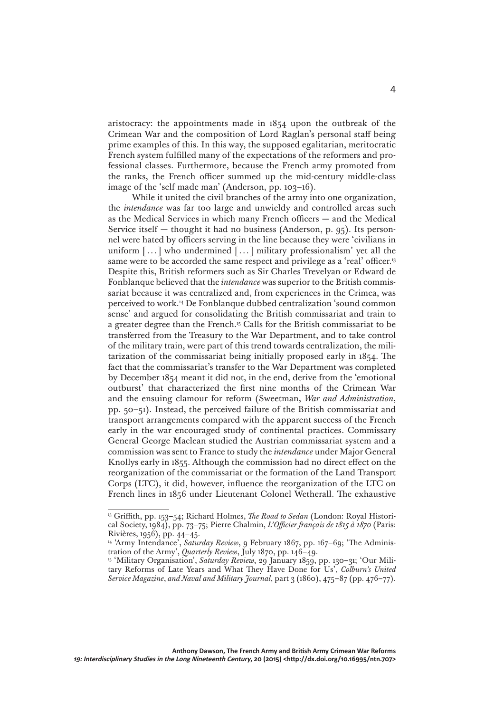aristocracy: the appointments made in 1854 upon the outbreak of the Crimean War and the composition of Lord Raglan's personal staff being prime examples of this. In this way, the supposed egalitarian, meritocratic French system fulfilled many of the expectations of the reformers and professional classes. Furthermore, because the French army promoted from the ranks, the French officer summed up the mid-century middle-class image of the 'self made man' (Anderson, pp. 103–16).

While it united the civil branches of the army into one organization, the *intendance* was far too large and unwieldy and controlled areas such as the Medical Services in which many French officers — and the Medical Service itself — thought it had no business (Anderson, p. 95). Its personnel were hated by officers serving in the line because they were 'civilians in uniform [...] who undermined [...] military professionalism' yet all the same were to be accorded the same respect and privilege as a 'real' officer.<sup>13</sup> Despite this, British reformers such as Sir Charles Trevelyan or Edward de Fonblanque believed that the *intendance* was superior to the British commissariat because it was centralized and, from experiences in the Crimea, was perceived to work.14 De Fonblanque dubbed centralization 'sound common sense' and argued for consolidating the British commissariat and train to a greater degree than the French.15 Calls for the British commissariat to be transferred from the Treasury to the War Department, and to take control of the military train, were part of this trend towards centralization, the militarization of the commissariat being initially proposed early in 1854. The fact that the commissariat's transfer to the War Department was completed by December 1854 meant it did not, in the end, derive from the 'emotional outburst' that characterized the first nine months of the Crimean War and the ensuing clamour for reform (Sweetman, *War and Administration*, pp. 50–51). Instead, the perceived failure of the British commissariat and transport arrangements compared with the apparent success of the French early in the war encouraged study of continental practices. Commissary General George Maclean studied the Austrian commissariat system and a commission was sent to France to study the *intendance* under Major General Knollys early in 1855. Although the commission had no direct effect on the reorganization of the commissariat or the formation of the Land Transport Corps (LTC), it did, however, influence the reorganization of the LTC on French lines in 1856 under Lieutenant Colonel Wetherall. The exhaustive

<sup>13</sup> Griffith, pp. 153–54; Richard Holmes, *The Road to Sedan* (London: Royal Historical Society, 1984), pp. 73–75; Pierre Chalmin, *L'Officier français de 1815 à 1870* (Paris: Rivières, 1956), pp. 44–45.

<sup>&</sup>lt;sup>14</sup> 'Army Intendance', *Saturday Review*, 9 February 1867, pp. 167-69; 'The Administration of the Army', *Quarterly Review*, July 1870, pp. 146–49.

<sup>&</sup>lt;sup>15</sup> 'Military Organisation', Saturday Review, 29 January 1859, pp. 130-31; 'Our Military Reforms of Late Years and What They Have Done for Us', *Colburn's United Service Magazine*, *and Naval and Military Journal*, part 3 (1860), 475–87 (pp. 476–77).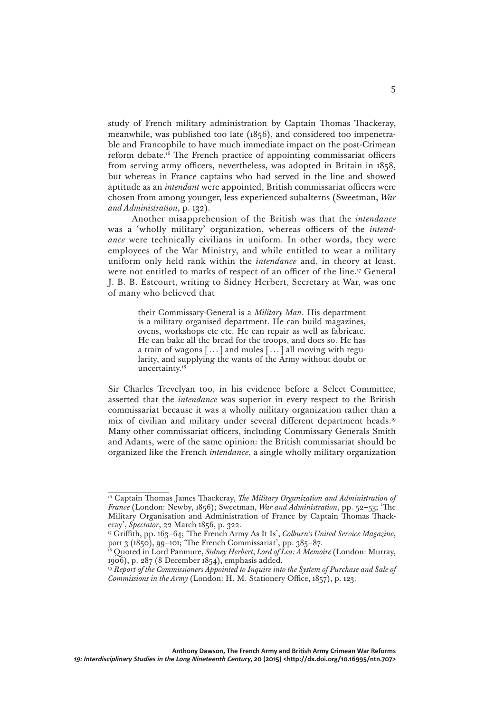study of French military administration by Captain Thomas Thackeray, meanwhile, was published too late (1856), and considered too impenetrable and Francophile to have much immediate impact on the post-Crimean reform debate.16 The French practice of appointing commissariat officers from serving army officers, nevertheless, was adopted in Britain in 1858, but whereas in France captains who had served in the line and showed aptitude as an *intendant* were appointed, British commissariat officers were chosen from among younger, less experienced subalterns (Sweetman, *War and Administration*, p. 132).

Another misapprehension of the British was that the *intendance*  was a 'wholly military' organization, whereas officers of the *intendance* were technically civilians in uniform. In other words, they were employees of the War Ministry, and while entitled to wear a military uniform only held rank within the *intendance* and, in theory at least, were not entitled to marks of respect of an officer of the line.17 General J. B. B. Estcourt, writing to Sidney Herbert, Secretary at War, was one of many who believed that

> their Commissary-General is a *Military Man*. His department is a military organised department. He can build magazines, ovens, workshops etc etc. He can repair as well as fabricate. He can bake all the bread for the troops, and does so. He has a train of wagons [...] and mules [...] all moving with regularity, and supplying the wants of the Army without doubt or uncertainty.<sup>18</sup>

Sir Charles Trevelyan too, in his evidence before a Select Committee, asserted that the *intendance* was superior in every respect to the British commissariat because it was a wholly military organization rather than a mix of civilian and military under several different department heads.19 Many other commissariat officers, including Commissary Generals Smith and Adams, were of the same opinion: the British commissariat should be organized like the French *intendance*, a single wholly military organization

<sup>16</sup> Captain Thomas James Thackeray, *The Military Organization and Administration of France* (London: Newby, 1856); Sweetman, *War and Administration*, pp. 52–53; 'The Military Organisation and Administration of France by Captain Thomas Thackeray', *Spectator*, 22 March 1856, p. 322.

<sup>17</sup> Griffith, pp. 163–64; 'The French Army As It Is', *Colburn's United Service Magazine*, part 3 (1850), 99–101; 'The French Commissariat', pp. 385–87.

<sup>18</sup> Quoted in Lord Panmure, *Sidney Herbert*, *Lord of Lea: A Memoire* (London: Murray, 1906), p. 287 (8 December 1854), emphasis added.

<sup>&</sup>lt;sup>19</sup> Report of the Commissioners Appointed to Inquire into the System of Purchase and Sale of *Commissions in the Army* (London: H. M. Stationery Office, 1857), p. 123.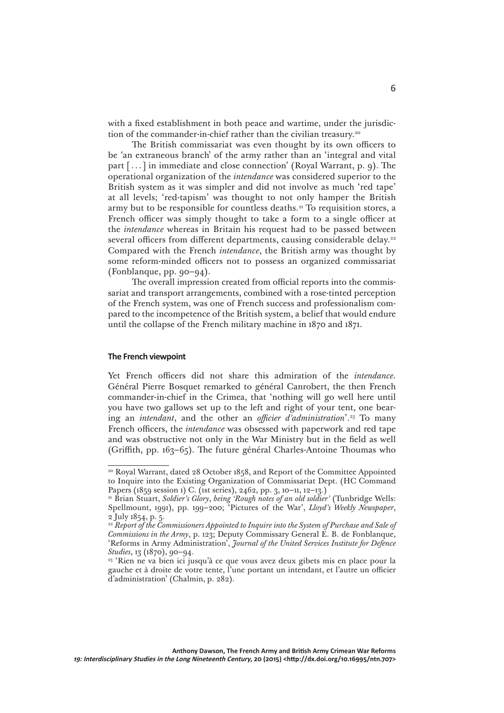with a fixed establishment in both peace and wartime, under the jurisdiction of the commander-in-chief rather than the civilian treasury.<sup>20</sup>

The British commissariat was even thought by its own officers to be 'an extraneous branch' of the army rather than an 'integral and vital part [...] in immediate and close connection' (Royal Warrant, p. 9). The operational organization of the *intendance* was considered superior to the British system as it was simpler and did not involve as much 'red tape' at all levels; 'red-tapism' was thought to not only hamper the British army but to be responsible for countless deaths.<sup>21</sup> To requisition stores, a French officer was simply thought to take a form to a single officer at the *intendance* whereas in Britain his request had to be passed between several officers from different departments, causing considerable delay.<sup>22</sup> Compared with the French *intendance*, the British army was thought by some reform-minded officers not to possess an organized commissariat (Fonblanque, pp. 90–94).

The overall impression created from official reports into the commissariat and transport arrangements, combined with a rose-tinted perception of the French system, was one of French success and professionalism compared to the incompetence of the British system, a belief that would endure until the collapse of the French military machine in 1870 and 1871.

# **The French viewpoint**

Yet French officers did not share this admiration of the *intendance*. Général Pierre Bosquet remarked to général Canrobert, the then French commander-in-chief in the Crimea, that 'nothing will go well here until you have two gallows set up to the left and right of your tent, one bearing an *intendant*, and the other an *officier d'administration*'.<sup>23</sup> To many French officers, the *intendance* was obsessed with paperwork and red tape and was obstructive not only in the War Ministry but in the field as well (Griffith, pp. 163–65). The future général Charles-Antoine Thoumas who

<sup>&</sup>lt;sup>20</sup> Royal Warrant, dated 28 October 1858, and Report of the Committee Appointed to Inquire into the Existing Organization of Commissariat Dept. (HC Command Papers (1859 session 1) C. (1st series), 2462, pp. 3, 10-11, 12-13.)

<sup>21</sup> Brian Stuart, *Soldier's Glory*, *being 'Rough notes of an old soldier'* (Tunbridge Wells: Spellmount, 1991), pp. 199–200; 'Pictures of the War', *Lloyd's Weekly Newspaper*, 2 July 1854, p. 5.

<sup>&</sup>lt;sup>22</sup> Report of the Commissioners Appointed to Inquire into the System of Purchase and Sale of *Commissions in the Army*, p. 123; Deputy Commissary General E. B. de Fonblanque, 'Reforms in Army Administration', *Journal of the United Services Institute for Defence Studies*, 13 (1870), 90–94.

<sup>&</sup>lt;sup>23</sup> 'Rien ne va bien ici jusqu'à ce que vous avez deux gibets mis en place pour la gauche et à droite de votre tente, l'une portant un intendant, et l'autre un officier d'administration' (Chalmin, p. 282).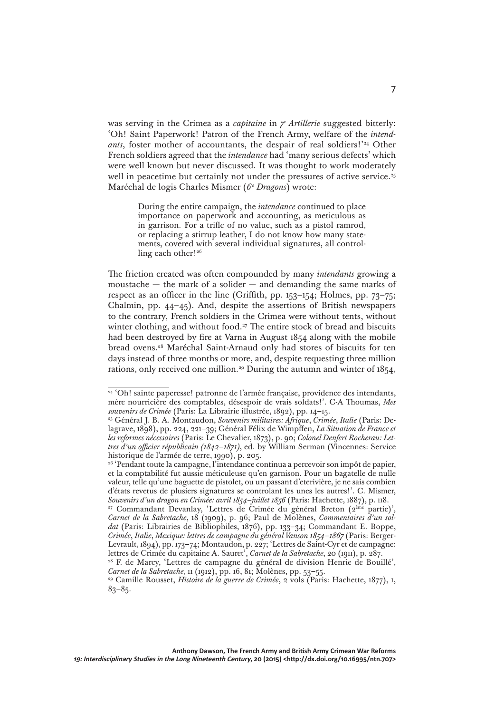was serving in the Crimea as a *capitaine* in *7e Artillerie* suggested bitterly: 'Oh! Saint Paperwork! Patron of the French Army, welfare of the *intendants*, foster mother of accountants, the despair of real soldiers!<sup>'24</sup> Other French soldiers agreed that the *intendance* had 'many serious defects' which were well known but never discussed. It was thought to work moderately well in peacetime but certainly not under the pressures of active service.<sup>25</sup> Maréchal de logis Charles Mismer (*6e Dragons*) wrote:

> During the entire campaign, the *intendance* continued to place importance on paperwork and accounting, as meticulous as in garrison. For a trifle of no value, such as a pistol ramrod, or replacing a stirrup leather, I do not know how many statements, covered with several individual signatures, all controlling each other!<sup>26</sup>

The friction created was often compounded by many *intendants* growing a moustache  $-$  the mark of a solider  $-$  and demanding the same marks of respect as an officer in the line (Griffith, pp. 153–154; Holmes, pp. 73–75; Chalmin, pp. 44–45). And, despite the assertions of British newspapers to the contrary, French soldiers in the Crimea were without tents, without winter clothing, and without food.<sup>27</sup> The entire stock of bread and biscuits had been destroyed by fire at Varna in August 1854 along with the mobile bread ovens.28 Maréchal Saint-Arnaud only had stores of biscuits for ten days instead of three months or more, and, despite requesting three million rations, only received one million.29 During the autumn and winter of 1854,

<sup>&</sup>lt;sup>24</sup> 'Oh! sainte paperesse! patronne de l'armée française, providence des intendants, mère nourricière des comptables, désespoir de vrais soldats!'. C-A Thoumas, *Mes souvenirs de Crimée* (Paris: La Librairie illustrée, 1892), pp. 14–15.

<sup>25</sup> Général J. B. A. Montaudon, *Souvenirs militaires: Afrique*, *Crimée*, *Italie* (Paris: Delagrave, 1898), pp. 224, 221–39; Général Félix de Wimpffen, *La Situation de France et les reformes nécessaires* (Paris: Le Chevalier, 1873), p. 90; *Colonel Denfert Rocherau: Lettres d'un officier républicain (1842–1871)*, ed. by William Serman (Vincennes: Service historique de l'armée de terre, 1990), p. 205.

<sup>&</sup>lt;sup>26</sup> 'Pendant toute la campagne, l'intendance continua a percevoir son impôt de papier, et la comptabilité fut aussie méticuleuse qu'en garnison. Pour un bagatelle de nulle valeur, telle qu'une baguette de pistolet, ou un passant d'eterivière, je ne sais combien d'états revetus de plusiers signatures se controlant les unes les autres!'. C. Mismer, *Souvenirs d'un dragon en Crimée: avril 1854–juillet 1856* (Paris: Hachette, 1887), p. 118.

<sup>&</sup>lt;sup>27</sup> Commandant Devanlay, 'Lettres de Crimée du général Breton (2<sup>ème</sup> partie)', *Carnet de la Sabretache*, 18 (1909), p. 96; Paul de Molènes, *Commentaires d'un soldat* (Paris: Librairies de Bibliophiles, 1876), pp. 133–34; Commandant E. Boppe, *Crimée*, *Italie*, *Mexique: lettres de campagne du général Vanson 1854–1867* (Paris: Berger-Levrault, 1894), pp. 173–74; Montaudon, p. 227; 'Lettres de Saint-Cyr et de campagne: lettres de Crimée du capitaine A. Sauret', *Carnet de la Sabretache*, 20 (1911), p. 287.

<sup>&</sup>lt;sup>28</sup> F. de Marcy, 'Lettres de campagne du général de division Henrie de Bouillé', *Carnet de la Sabretache*, 11 (1912), pp. 16, 81; Molènes, pp. 53–55.

<sup>29</sup> Camille Rousset, *Histoire de la guerre de Crimée*, 2 vols (Paris: Hachette, 1877), i, 83*–*85.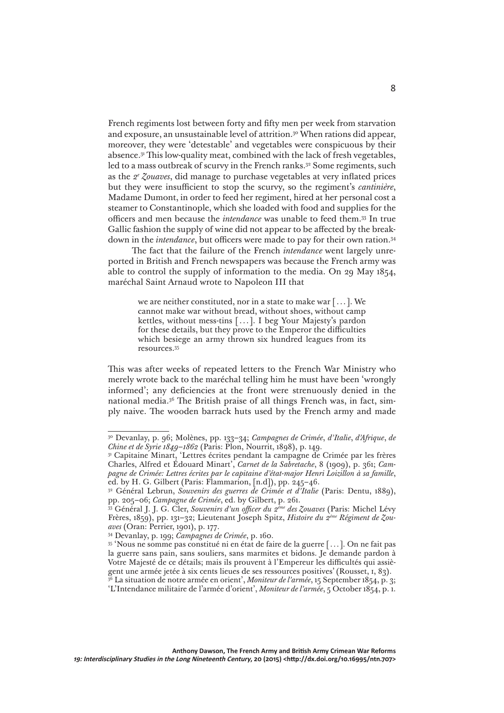French regiments lost between forty and fifty men per week from starvation and exposure, an unsustainable level of attrition.30 When rations did appear, moreover, they were 'detestable' and vegetables were conspicuous by their absence.31 This low-quality meat, combined with the lack of fresh vegetables, led to a mass outbreak of scurvy in the French ranks.<sup>32</sup> Some regiments, such as the *2e Zouaves*, did manage to purchase vegetables at very inflated prices but they were insufficient to stop the scurvy, so the regiment's *cantinière*, Madame Dumont, in order to feed her regiment, hired at her personal cost a steamer to Constantinople, which she loaded with food and supplies for the officers and men because the *intendance* was unable to feed them.33 In true Gallic fashion the supply of wine did not appear to be affected by the breakdown in the *intendance*, but officers were made to pay for their own ration.34

8

The fact that the failure of the French *intendance* went largely unreported in British and French newspapers was because the French army was able to control the supply of information to the media. On 29 May 1854, maréchal Saint Arnaud wrote to Napoleon III that

> we are neither constituted, nor in a state to make war [...]. We cannot make war without bread, without shoes, without camp kettles, without mess-tins [...]. I beg Your Majesty's pardon for these details, but they prove to the Emperor the difficulties which besiege an army thrown six hundred leagues from its resources.35

This was after weeks of repeated letters to the French War Ministry who merely wrote back to the maréchal telling him he must have been 'wrongly informed'; any deficiencies at the front were strenuously denied in the national media.36 The British praise of all things French was, in fact, simply naive. The wooden barrack huts used by the French army and made

<sup>30</sup> Devanlay, p. 96; Molènes, pp. 133–34; *Campagnes de Crimée*, *d'Italie*, *d'Afrique*, *de Chine et de Syrie 1849–1862* (Paris: Plon, Nourrit, 1898), p. 149.

<sup>&</sup>lt;sup>31</sup> Capitaine Minart, 'Lettres écrites pendant la campagne de Crimée par les frères Charles, Alfred et Édouard Minart', *Carnet de la Sabretache*, 8 (1909), p. 361; *Campagne de Crimée: Lettres écrites par le capitaine d'état-major Henri Loizillon à sa famille*, ed. by H. G. Gilbert (Paris: Flammarion, [n.d]), pp. 245–46.

<sup>32</sup> Général Lebrun, *Souvenirs des guerres de Crimée et d'Italie* (Paris: Dentu, 1889), pp. 205–06; *Campagne de Crimée*, ed. by Gilbert, p. 261.

<sup>33</sup> Général J. J. G. Cler, *Souvenirs d'un officer du 2ème des Zouaves* (Paris: Michel Lévy Frères, 1859), pp. 131–32; Lieutenant Joseph Spitz, *Histoire du 2ème Régiment de Zouaves* (Oran: Perrier, 1901), p. 177.

<sup>34</sup> Devanlay, p. 199; *Campagnes de Crimée*, p. 160.

<sup>35 &#</sup>x27;Nous ne somme pas constitué ni en état de faire de la guerre [...]. On ne fait pas la guerre sans pain, sans souliers, sans marmites et bidons. Je demande pardon à Votre Majesté de ce détails; mais ils prouvent à l'Empereur les difficultés qui assiègent une armée jetée à six cents lieues de ses ressources positives' (Rousset, i, 83).

<sup>36</sup> La situation de notre armée en orient', *Moniteur de l'armée*, 15 September 1854, p. 3; 'L'Intendance militaire de l'armée d'orient', *Moniteur de l'armée*, 5 October 1854, p. 1.

**Anthony Dawson, The French Army and British Army Crimean War Reforms 19: Interdisciplinary Studies in the Long Nineteenth Century, 20 (2015) <<http://dx.doi.org/10.16995/ntn.707>>**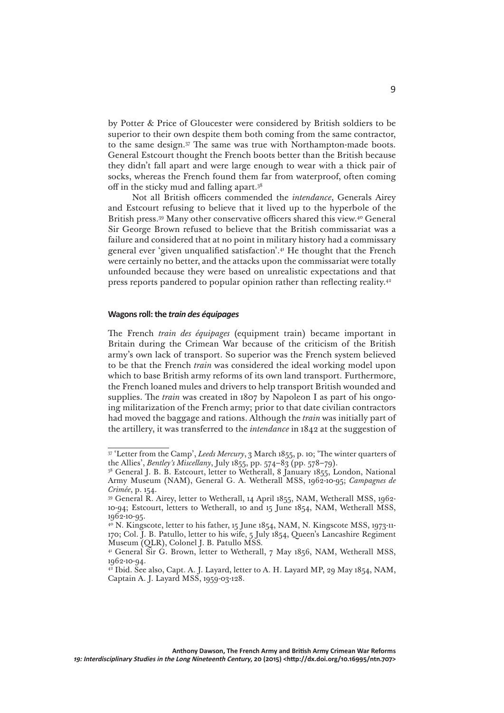by Potter & Price of Gloucester were considered by British soldiers to be superior to their own despite them both coming from the same contractor, to the same design.37 The same was true with Northampton-made boots. General Estcourt thought the French boots better than the British because they didn't fall apart and were large enough to wear with a thick pair of socks, whereas the French found them far from waterproof, often coming off in the sticky mud and falling apart.38

Not all British officers commended the *intendance*, Generals Airey and Estcourt refusing to believe that it lived up to the hyperbole of the British press.39 Many other conservative officers shared this view.40 General Sir George Brown refused to believe that the British commissariat was a failure and considered that at no point in military history had a commissary general ever 'given unqualified satisfaction'.41 He thought that the French were certainly no better, and the attacks upon the commissariat were totally unfounded because they were based on unrealistic expectations and that press reports pandered to popular opinion rather than reflecting reality.42

### **Wagons roll: the** *train des équipages*

The French *train des équipages* (equipment train) became important in Britain during the Crimean War because of the criticism of the British army's own lack of transport. So superior was the French system believed to be that the French *train* was considered the ideal working model upon which to base British army reforms of its own land transport. Furthermore, the French loaned mules and drivers to help transport British wounded and supplies. The *train* was created in 1807 by Napoleon I as part of his ongoing militarization of the French army; prior to that date civilian contractors had moved the baggage and rations. Although the *train* was initially part of the artillery, it was transferred to the *intendance* in 1842 at the suggestion of

<sup>37 &#</sup>x27;Letter from the Camp', *Leeds Mercury*, 3 March 1855, p. 10; 'The winter quarters of the Allies', *Bentley's Miscellany*, July 1855, pp. 574–83 (pp. 578–79).

<sup>&</sup>lt;sup>38</sup> General J. B. B. Estcourt, letter to Wetherall, 8 January 1855, London, National Army Museum (NAM), General G. A. Wetherall MSS, 1962-10-95; *Campagnes de Crimée*, p. 154.

<sup>39</sup> General R. Airey, letter to Wetherall, 14 April 1855, NAM, Wetherall MSS, 1962- 10-94; Estcourt, letters to Wetherall, 10 and 15 June 1854, NAM, Wetherall MSS, 1962-10-95.

<sup>&</sup>lt;sup>40</sup> N. Kingscote, letter to his father, 15 June 1854, NAM, N. Kingscote MSS, 1973-11-170; Col. J. B. Patullo, letter to his wife, 5 July 1854, Queen's Lancashire Regiment Museum (QLR), Colonel J. B. Patullo MSS.

<sup>&</sup>lt;sup>41</sup> General Sir G. Brown, letter to Wetherall, 7 May 1856, NAM, Wetherall MSS, 1962-10-94.

<sup>&</sup>lt;sup>42</sup> Ibid. See also, Capt. A. J. Layard, letter to A. H. Layard MP, 29 May 1854, NAM, Captain A. J. Layard MSS, 1959-03-128.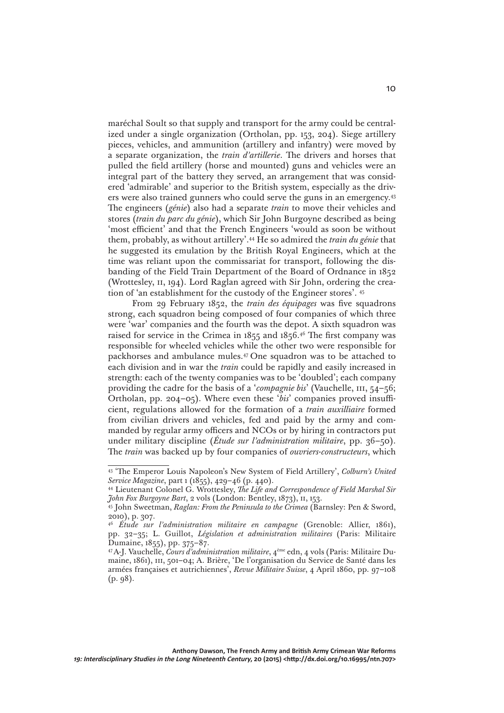maréchal Soult so that supply and transport for the army could be centralized under a single organization (Ortholan, pp. 153, 204). Siege artillery pieces, vehicles, and ammunition (artillery and infantry) were moved by a separate organization, the *train d'artillerie*. The drivers and horses that pulled the field artillery (horse and mounted) guns and vehicles were an integral part of the battery they served, an arrangement that was considered 'admirable' and superior to the British system, especially as the drivers were also trained gunners who could serve the guns in an emergency.43 The engineers (*génie*) also had a separate *train* to move their vehicles and stores (*train du parc du génie*), which Sir John Burgoyne described as being 'most efficient' and that the French Engineers 'would as soon be without them, probably, as without artillery'.44 He so admired the *train du génie* that he suggested its emulation by the British Royal Engineers, which at the time was reliant upon the commissariat for transport, following the disbanding of the Field Train Department of the Board of Ordnance in 1852 (Wrottesley, ii, 194). Lord Raglan agreed with Sir John, ordering the creation of 'an establishment for the custody of the Engineer stores'. 45

From 29 February 1852, the *train des équipages* was five squadrons strong, each squadron being composed of four companies of which three were 'war' companies and the fourth was the depot. A sixth squadron was raised for service in the Crimea in 1855 and 1856.46 The first company was responsible for wheeled vehicles while the other two were responsible for packhorses and ambulance mules.47 One squadron was to be attached to each division and in war the *train* could be rapidly and easily increased in strength: each of the twenty companies was to be 'doubled'; each company providing the cadre for the basis of a '*compagnie bis*' (Vauchelle, iii, 54–56; Ortholan, pp. 204–05). Where even these '*bis*' companies proved insufficient, regulations allowed for the formation of a *train auxilliaire* formed from civilian drivers and vehicles, fed and paid by the army and commanded by regular army officers and NCOs or by hiring in contractors put under military discipline (*Étude sur l'administration militaire*, pp. 36–50). The *train* was backed up by four companies of *ouvriers-constructeurs*, which

<sup>43 &#</sup>x27;The Emperor Louis Napoleon's New System of Field Artillery', *Colburn's United Service Magazine*, part 1 (1855), 429–46 (p. 440).

<sup>44</sup> Lieutenant Colonel G. Wrottesley, *The Life and Correspondence of Field Marshal Sir John Fox Burgoyne Bart*, 2 vols (London: Bentley, 1873), ii, 153. 45 John Sweetman, *Raglan: From the Peninsula to the Crimea* (Barnsley: Pen & Sword,

<sup>2010),</sup> p. 307.

<sup>46</sup> *Étude sur l'administration militaire en campagne* (Grenoble: Allier, 1861), pp. 32–35; L. Guillot, *Législation et administration militaires* (Paris: Militaire Dumaine, 1855), pp. 375–87.

<sup>47</sup> A-J. Vauchelle, *Cours d'administration militaire*, 4ème edn, 4 vols (Paris: Militaire Dumaine, 1861), iii, 501–04; A. Brière, 'De l'organisation du Service de Santé dans les armées françaises et autrichiennes', *Revue Militaire Suisse*, 4 April 1860, pp. 97–108 (p. 98).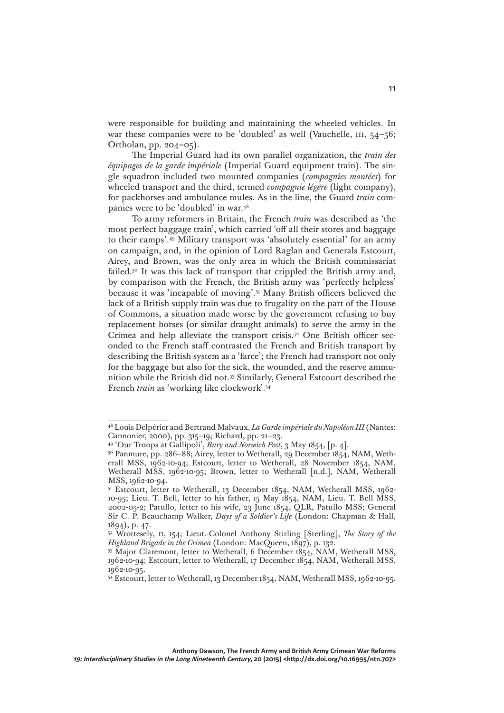were responsible for building and maintaining the wheeled vehicles. In war these companies were to be 'doubled' as well (Vauchelle,  $III, 54-56;$ Ortholan, pp. 204–05).

The Imperial Guard had its own parallel organization, the *train des équipages de la garde impériale* (Imperial Guard equipment train). The single squadron included two mounted companies (*compagnies montées*) for wheeled transport and the third, termed *compagnie légère* (light company), for packhorses and ambulance mules. As in the line, the Guard *train* companies were to be 'doubled' in war.48

To army reformers in Britain, the French *train* was described as 'the most perfect baggage train', which carried 'off all their stores and baggage to their camps'.49 Military transport was 'absolutely essential' for an army on campaign, and, in the opinion of Lord Raglan and Generals Estcourt, Airey, and Brown, was the only area in which the British commissariat failed.<sup>50</sup> It was this lack of transport that crippled the British army and, by comparison with the French, the British army was 'perfectly helpless' because it was 'incapable of moving'.51 Many British officers believed the lack of a British supply train was due to frugality on the part of the House of Commons, a situation made worse by the government refusing to buy replacement horses (or similar draught animals) to serve the army in the Crimea and help alleviate the transport crisis.<sup>52</sup> One British officer seconded to the French staff contrasted the French and British transport by describing the British system as a 'farce'; the French had transport not only for the baggage but also for the sick, the wounded, and the reserve ammunition while the British did not.53 Similarly, General Estcourt described the French *train* as 'working like clockwork'.54

<sup>48</sup> Louis Delpérier and Bertrand Malvaux, *La Garde impériale du Napoléon III* (Nantes: Cannonier, 2000), pp. 315–19; Richard, pp. 21–23.

<sup>49 &#</sup>x27;Our Troops at Gallipoli', *Bury and Norwich Post*, 3 May 1854, [p. 4].

<sup>&</sup>lt;sup>50</sup> Panmure, pp. 286–88; Airey, letter to Wetherall, 29 December 1854, NAM, Wetherall MSS, 1962-10-94; Estcourt, letter to Wetherall, 28 November 1854, NAM, Wetherall MSS, 1962-10-95; Brown, letter to Wetherall [n.d.], NAM, Wetherall MSS, 1962-10-94.

<sup>&</sup>lt;sup>51</sup> Estcourt, letter to Wetherall, 13 December 1854, NAM, Wetherall MSS, 1962-10-95; Lieu. T. Bell, letter to his father, 15 May 1854, NAM, Lieu. T. Bell MSS, 2002-05-2; Patullo, letter to his wife, 23 June 1854, QLR, Patullo MSS; General Sir C. P. Beauchamp Walker, *Days of a Soldier's Life* (London: Chapman & Hall, 1894), p. 47.

<sup>52</sup> Wrottesely, ii, 154; Lieut.-Colonel Anthony Stirling [Sterling], *The Story of the Highland Brigade in the Crimea* (London: MacQueen, 1897), p. 132.

<sup>&</sup>lt;sup>53</sup> Major Claremont, letter to Wetherall, 6 December 1854, NAM, Wetherall MSS, 1962-10-94; Estcourt, letter to Wetherall, 17 December 1854, NAM, Wetherall MSS, 1962-10-95.

<sup>&</sup>lt;sup>54</sup> Estcourt, letter to Wetherall, 13 December 1854, NAM, Wetherall MSS, 1962-10-95.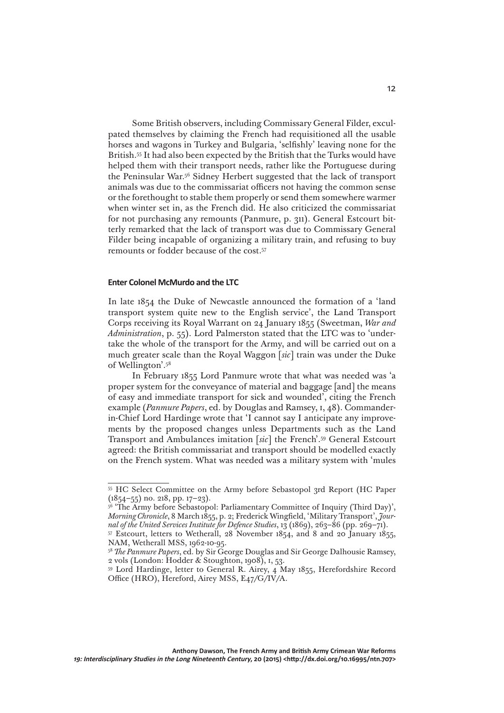Some British observers, including Commissary General Filder, exculpated themselves by claiming the French had requisitioned all the usable horses and wagons in Turkey and Bulgaria, 'selfishly' leaving none for the British.55 It had also been expected by the British that the Turks would have helped them with their transport needs, rather like the Portuguese during the Peninsular War.56 Sidney Herbert suggested that the lack of transport animals was due to the commissariat officers not having the common sense or the forethought to stable them properly or send them somewhere warmer when winter set in, as the French did. He also criticized the commissariat for not purchasing any remounts (Panmure, p. 311). General Estcourt bitterly remarked that the lack of transport was due to Commissary General Filder being incapable of organizing a military train, and refusing to buy remounts or fodder because of the cost.57

# **Enter Colonel McMurdo and the LTC**

In late 1854 the Duke of Newcastle announced the formation of a 'land transport system quite new to the English service', the Land Transport Corps receiving its Royal Warrant on 24 January 1855 (Sweetman, *War and Administration*, p. 55). Lord Palmerston stated that the LTC was to 'undertake the whole of the transport for the Army, and will be carried out on a much greater scale than the Royal Waggon [*sic*] train was under the Duke of Wellington'.58

In February 1855 Lord Panmure wrote that what was needed was 'a proper system for the conveyance of material and baggage [and] the means of easy and immediate transport for sick and wounded', citing the French example (*Panmure Papers*, ed. by Douglas and Ramsey, i, 48). Commanderin-Chief Lord Hardinge wrote that 'I cannot say I anticipate any improvements by the proposed changes unless Departments such as the Land Transport and Ambulances imitation [*sic*] the French'.59 General Estcourt agreed: the British commissariat and transport should be modelled exactly on the French system. What was needed was a military system with 'mules

<sup>55</sup> HC Select Committee on the Army before Sebastopol 3rd Report (HC Paper  $(1854-55)$  no. 218, pp. 17-23).

<sup>&</sup>lt;sup>56</sup> 'The Army before Sebastopol: Parliamentary Committee of Inquiry (Third Day)', *Morning Chronicle*, 8 March 1855, p. 2; Frederick Wingfield, 'Military Transport', *Journal of the United Services Institute for Defence Studies*, 13 (1869), 263–86 (pp. 269–71).

<sup>57</sup> Estcourt, letters to Wetherall, 28 November 1854, and 8 and 20 January 1855, NAM, Wetherall MSS, 1962-10-95.

<sup>58</sup> *The Panmure Papers*, ed. by Sir George Douglas and Sir George Dalhousie Ramsey, 2 vols (London: Hodder & Stoughton, 1908), i, 53.

<sup>59</sup> Lord Hardinge, letter to General R. Airey, 4 May 1855, Herefordshire Record Office (HRO), Hereford, Airey MSS, E47/G/IV/A.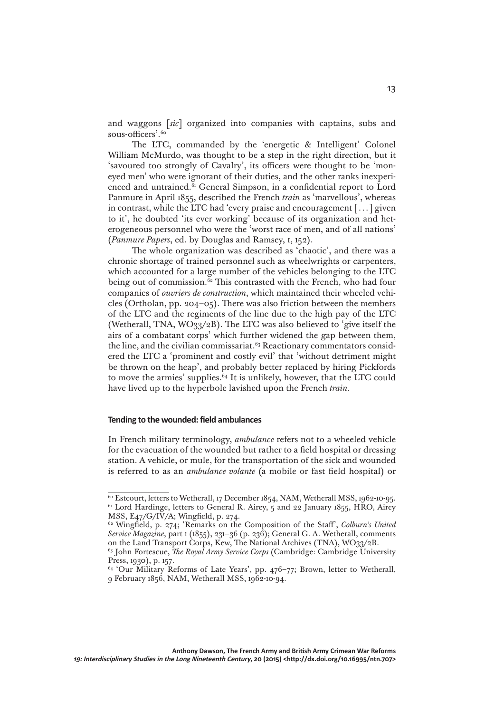and waggons [*sic*] organized into companies with captains, subs and sous-officers'.<sup>60</sup>

The LTC, commanded by the 'energetic & Intelligent' Colonel William McMurdo, was thought to be a step in the right direction, but it 'savoured too strongly of Cavalry', its officers were thought to be 'moneyed men' who were ignorant of their duties, and the other ranks inexperienced and untrained.<sup>61</sup> General Simpson, in a confidential report to Lord Panmure in April 1855, described the French *train* as 'marvellous', whereas in contrast, while the LTC had 'every praise and encouragement [...] given to it', he doubted 'its ever working' because of its organization and heterogeneous personnel who were the 'worst race of men, and of all nations' (*Panmure Papers*, ed. by Douglas and Ramsey, i, 152).

The whole organization was described as 'chaotic', and there was a chronic shortage of trained personnel such as wheelwrights or carpenters, which accounted for a large number of the vehicles belonging to the LTC being out of commission.<sup>62</sup> This contrasted with the French, who had four companies of *ouvriers de construction*, which maintained their wheeled vehicles (Ortholan, pp. 204–05). There was also friction between the members of the LTC and the regiments of the line due to the high pay of the LTC (Wetherall, TNA, WO33/2B). The LTC was also believed to 'give itself the airs of a combatant corps' which further widened the gap between them, the line, and the civilian commissariat.<sup>63</sup> Reactionary commentators considered the LTC a 'prominent and costly evil' that 'without detriment might be thrown on the heap', and probably better replaced by hiring Pickfords to move the armies' supplies. $64$  It is unlikely, however, that the LTC could have lived up to the hyperbole lavished upon the French *train*.

#### **Tending to the wounded: field ambulances**

In French military terminology, *ambulance* refers not to a wheeled vehicle for the evacuation of the wounded but rather to a field hospital or dressing station. A vehicle, or mule, for the transportation of the sick and wounded is referred to as an *ambulance volante* (a mobile or fast field hospital) or

<sup>&</sup>lt;sup>60</sup> Estcourt, letters to Wetherall, 17 December 1854, NAM, Wetherall MSS, 1962-10-95. <sup>61</sup> Lord Hardinge, letters to General R. Airey, 5 and 22 January 1855, HRO, Airey MSS, E47/G/IV/A; Wingfield, p. 274.

<sup>62</sup> Wingfield, p. 274; 'Remarks on the Composition of the Staff', *Colburn's United Service Magazine*, part 1 (1855), 231–36 (p. 236); General G. A. Wetherall, comments on the Land Transport Corps, Kew, The National Archives (TNA), WO33/2B.

<sup>63</sup> John Fortescue, *The Royal Army Service Corps* (Cambridge: Cambridge University Press, 1930), p. 157.

<sup>&</sup>lt;sup>64</sup> 'Our Military Reforms of Late Years', pp. 476-77; Brown, letter to Wetherall, 9 February 1856, NAM, Wetherall MSS, 1962-10-94.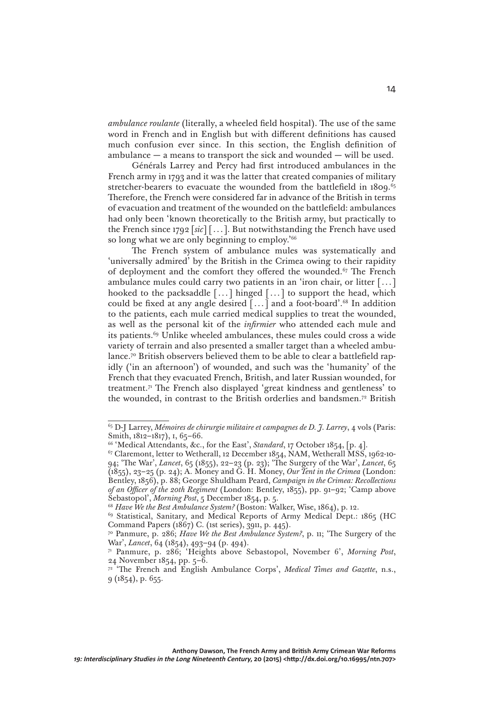*ambulance roulante* (literally, a wheeled field hospital). The use of the same word in French and in English but with different definitions has caused much confusion ever since. In this section, the English definition of ambulance — a means to transport the sick and wounded — will be used.

Générals Larrey and Percy had first introduced ambulances in the French army in 1793 and it was the latter that created companies of military stretcher-bearers to evacuate the wounded from the battlefield in 1809.<sup>65</sup> Therefore, the French were considered far in advance of the British in terms of evacuation and treatment of the wounded on the battlefield: ambulances had only been 'known theoretically to the British army, but practically to the French since 1792 [*sic*] [...]. But notwithstanding the French have used so long what we are only beginning to employ.<sup>'66</sup>

The French system of ambulance mules was systematically and 'universally admired' by the British in the Crimea owing to their rapidity of deployment and the comfort they offered the wounded.<sup>67</sup> The French ambulance mules could carry two patients in an 'iron chair, or litter [...] hooked to the packsaddle  $[\dots]$  hinged  $[\dots]$  to support the head, which could be fixed at any angle desired  $\lceil ... \rceil$  and a foot-board'.<sup>68</sup> In addition to the patients, each mule carried medical supplies to treat the wounded, as well as the personal kit of the *infirmier* who attended each mule and its patients.69 Unlike wheeled ambulances, these mules could cross a wide variety of terrain and also presented a smaller target than a wheeled ambulance.<sup>70</sup> British observers believed them to be able to clear a battlefield rapidly ('in an afternoon') of wounded, and such was the 'humanity' of the French that they evacuated French, British, and later Russian wounded, for treatment.71 The French also displayed 'great kindness and gentleness' to the wounded, in contrast to the British orderlies and bandsmen.72 British

<sup>65</sup> D-J Larrey, *Mémoires de chirurgie militaire et campagnes de D. J. Larrey*, 4 vols (Paris: Smith, 1812-1817), 1, 65-66.

<sup>&</sup>lt;sup>66</sup> 'Medical Attendants, &c., for the East', *Standard*, 17 October 1854, [p. 4].

<sup>&</sup>lt;sup>67</sup> Claremont, letter to Wetherall, 12 December 1854, NAM, Wetherall MSS, 1962-10-94; 'The War', *Lancet*, 65 (1855), 22–23 (p. 23); 'The Surgery of the War', *Lancet*, 65 (1855), 23–25 (p. 24); A. Money and G. H. Money, *Our Tent in the Crimea* (London: Bentley, 1856), p. 88; George Shuldham Peard, *Campaign in the Crimea: Recollections of an Officer of the 20th Regiment* (London: Bentley, 1855), pp. 91–92; 'Camp above Sebastopol', *Morning Post*, 5 December 1854, p. 5.

<sup>68</sup> *Have We the Best Ambulance System?* (Boston: Walker, Wise, 1864), p. 12.

<sup>69</sup> Statistical, Sanitary, and Medical Reports of Army Medical Dept.: 1865 (HC Command Papers (1867) C. (1st series), 3911, p. 445).

<sup>70</sup> Panmure, p. 286; *Have We the Best Ambulance System?*, p. 11; 'The Surgery of the War', *Lancet*, 64 (1854), 493–94 (p. 494).

<sup>71</sup> Panmure, p. 286; 'Heights above Sebastopol, November 6', *Morning Post*, 24 November 1854, pp. 5–6.

<sup>&</sup>lt;sup>72</sup> 'The French and English Ambulance Corps', *Medical Times and Gazette*, n.s.,  $9(1854)$ , p. 655.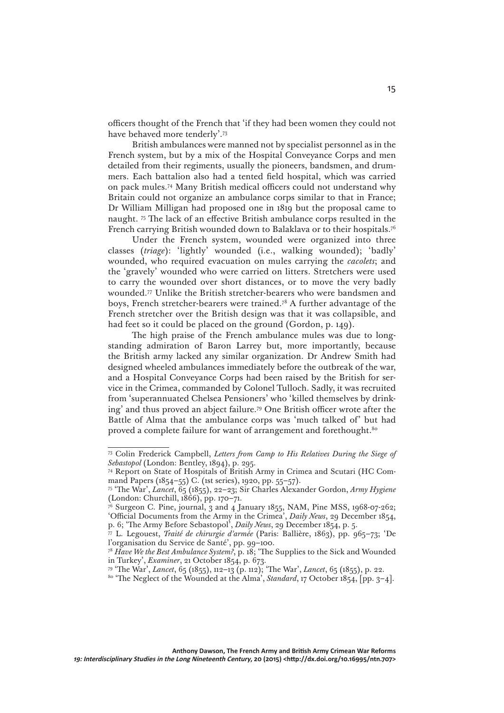officers thought of the French that 'if they had been women they could not have behaved more tenderly'.73

British ambulances were manned not by specialist personnel as in the French system, but by a mix of the Hospital Conveyance Corps and men detailed from their regiments, usually the pioneers, bandsmen, and drummers. Each battalion also had a tented field hospital, which was carried on pack mules.74 Many British medical officers could not understand why Britain could not organize an ambulance corps similar to that in France; Dr William Milligan had proposed one in 1819 but the proposal came to naught. 75 The lack of an effective British ambulance corps resulted in the French carrying British wounded down to Balaklava or to their hospitals.76

Under the French system, wounded were organized into three classes (*triage*): 'lightly' wounded (i.e., walking wounded); 'badly' wounded, who required evacuation on mules carrying the *cacolets*; and the 'gravely' wounded who were carried on litters. Stretchers were used to carry the wounded over short distances, or to move the very badly wounded.77 Unlike the British stretcher-bearers who were bandsmen and boys, French stretcher-bearers were trained.78 A further advantage of the French stretcher over the British design was that it was collapsible, and had feet so it could be placed on the ground (Gordon, p. 149).

The high praise of the French ambulance mules was due to longstanding admiration of Baron Larrey but, more importantly, because the British army lacked any similar organization. Dr Andrew Smith had designed wheeled ambulances immediately before the outbreak of the war, and a Hospital Conveyance Corps had been raised by the British for service in the Crimea, commanded by Colonel Tulloch. Sadly, it was recruited from 'superannuated Chelsea Pensioners' who 'killed themselves by drinking' and thus proved an abject failure.79 One British officer wrote after the Battle of Alma that the ambulance corps was 'much talked of' but had proved a complete failure for want of arrangement and forethought.<sup>80</sup>

<sup>73</sup> Colin Frederick Campbell, *Letters from Camp to His Relatives During the Siege of Sebastopol* (London: Bentley, 1894), p. 295.

<sup>74</sup> Report on State of Hospitals of British Army in Crimea and Scutari (HC Command Papers (1854–55) C. (1st series), 1920, pp. 55–57).

<sup>75 &#</sup>x27;The War', *Lancet*, 65 (1855), 22–23; Sir Charles Alexander Gordon, *Army Hygiene*  (London: Churchill, 1866), pp. 170–71.

 $\vec{r}$ <sup>6</sup> Surgeon C. Pine, journal,  $\hat{3}$  and  $\hat{4}$  January 1855, NAM, Pine MSS, 1968-07-262; 'Official Documents from the Army in the Crimea', *Daily News*, 29 December 1854, p. 6; 'The Army Before Sebastopol', *Daily News*, 29 December 1854, p. 5.

<sup>77</sup> L. Legouest, *Traité de chirurgie d'armée* (Paris: Ballière, 1863), pp. 965–73; 'De l'organisation du Service de Santé', pp. 99–100.

<sup>78</sup> *Have We the Best Ambulance System?*, p. 18; 'The Supplies to the Sick and Wounded in Turkey', *Examiner*, 21 October 1854, p. 673.

<sup>79 &#</sup>x27;The War', *Lancet*, 65 (1855), 112–13 (p. 112); 'The War', *Lancet*, 65 (1855), p. 22.

<sup>80 &#</sup>x27;The Neglect of the Wounded at the Alma', *Standard*, 17 October 1854, [pp. 3–4].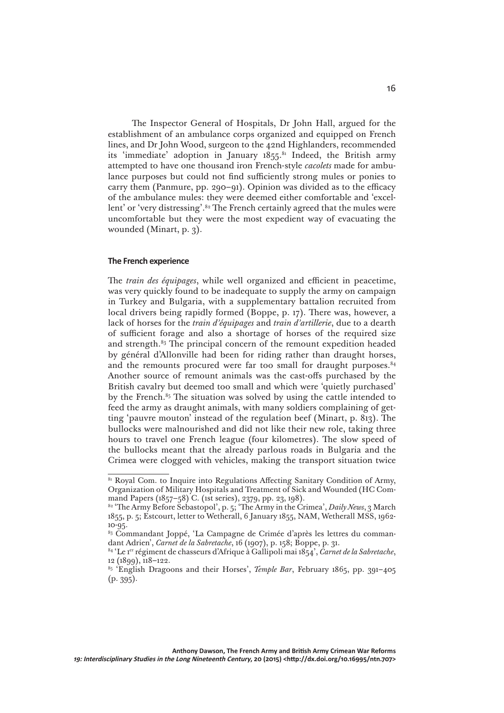The Inspector General of Hospitals, Dr John Hall, argued for the establishment of an ambulance corps organized and equipped on French lines, and Dr John Wood, surgeon to the 42nd Highlanders, recommended its 'immediate' adoption in January 1855.<sup>81</sup> Indeed, the British army attempted to have one thousand iron French-style *cacolets* made for ambulance purposes but could not find sufficiently strong mules or ponies to carry them (Panmure, pp. 290–91). Opinion was divided as to the efficacy of the ambulance mules: they were deemed either comfortable and 'excellent' or 'very distressing'.<sup>82</sup> The French certainly agreed that the mules were uncomfortable but they were the most expedient way of evacuating the wounded (Minart, p. 3).

#### **The French experience**

The *train des équipages*, while well organized and efficient in peacetime, was very quickly found to be inadequate to supply the army on campaign in Turkey and Bulgaria, with a supplementary battalion recruited from local drivers being rapidly formed (Boppe, p. 17). There was, however, a lack of horses for the *train d'équipages* and *train d'artillerie*, due to a dearth of sufficient forage and also a shortage of horses of the required size and strength.<sup>83</sup> The principal concern of the remount expedition headed by général d'Allonville had been for riding rather than draught horses, and the remounts procured were far too small for draught purposes. $84$ Another source of remount animals was the cast-offs purchased by the British cavalry but deemed too small and which were 'quietly purchased' by the French. $85$  The situation was solved by using the cattle intended to feed the army as draught animals, with many soldiers complaining of getting 'pauvre mouton' instead of the regulation beef (Minart, p. 813). The bullocks were malnourished and did not like their new role, taking three hours to travel one French league (four kilometres). The slow speed of the bullocks meant that the already parlous roads in Bulgaria and the Crimea were clogged with vehicles, making the transport situation twice

<sup>&</sup>lt;sup>81</sup> Royal Com. to Inquire into Regulations Affecting Sanitary Condition of Army, Organization of Military Hospitals and Treatment of Sick and Wounded (HC Command Papers (1857–58) C. (1st series), 2379, pp. 23, 198).

<sup>&</sup>lt;sup>82</sup> 'The Army Before Sebastopol', p. 5; 'The Army in the Crimea', *Daily News*, 3 March 1855, p. 5; Estcourt, letter to Wetherall, 6 January 1855, NAM, Wetherall MSS, 1962- 10-95.

<sup>&</sup>lt;sup>83</sup> Commandant Joppé, 'La Campagne de Crimée d'après les lettres du commandant Adrien', *Carnet de la Sabretache*, 16 (1907), p. 158; Boppe, p. 31.

<sup>84 &#</sup>x27;Le 1er régiment de chasseurs d'Afrique à Gallipoli mai 1854', *Carnet de la Sabretache*, 12 (1899), 118–122.

<sup>85 &#</sup>x27;English Dragoons and their Horses', *Temple Bar*, February 1865, pp. 391–405  $(p. 395)$ .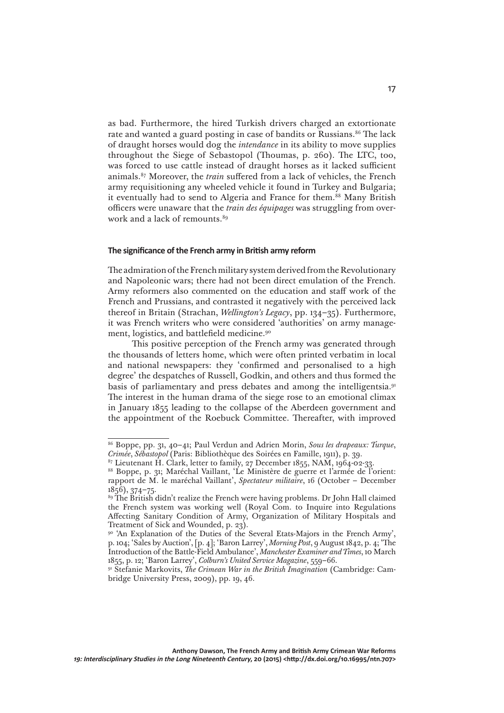as bad. Furthermore, the hired Turkish drivers charged an extortionate rate and wanted a guard posting in case of bandits or Russians.<sup>86</sup> The lack of draught horses would dog the *intendance* in its ability to move supplies throughout the Siege of Sebastopol (Thoumas, p. 260). The LTC, too, was forced to use cattle instead of draught horses as it lacked sufficient animals.87 Moreover, the *train* suffered from a lack of vehicles, the French army requisitioning any wheeled vehicle it found in Turkey and Bulgaria; it eventually had to send to Algeria and France for them.<sup>88</sup> Many British officers were unaware that the *train des équipages* was struggling from overwork and a lack of remounts.<sup>89</sup>

# **The significance of the French army in British army reform**

The admiration of the French military system derived from the Revolutionary and Napoleonic wars; there had not been direct emulation of the French. Army reformers also commented on the education and staff work of the French and Prussians, and contrasted it negatively with the perceived lack thereof in Britain (Strachan, *Wellington's Legacy*, pp. 134–35). Furthermore, it was French writers who were considered 'authorities' on army management, logistics, and battlefield medicine.<sup>90</sup>

This positive perception of the French army was generated through the thousands of letters home, which were often printed verbatim in local and national newspapers: they 'confirmed and personalised to a high degree' the despatches of Russell, Godkin, and others and thus formed the basis of parliamentary and press debates and among the intelligentsia.91 The interest in the human drama of the siege rose to an emotional climax in January 1855 leading to the collapse of the Aberdeen government and the appointment of the Roebuck Committee. Thereafter, with improved

<sup>86</sup> Boppe, pp. 31, 40–41; Paul Verdun and Adrien Morin, *Sous les drapeaux: Turque*, *Crimée*, *Sébastopol* (Paris: Bibliothèque des Soirées en Famille, 1911), p. 39.

 $87$  Lieutenant H. Clark, letter to family, 27 December 1855, NAM, 1964-02-33.

<sup>88</sup> Boppe, p. 31; Maréchal Vaillant, 'Le Ministère de guerre et l'armée de l'orient: rapport de M. le maréchal Vaillant', *Spectateur militaire*, 16 (October – December 1856), 374–75*.*

<sup>89</sup> The British didn't realize the French were having problems. Dr John Hall claimed the French system was working well (Royal Com. to Inquire into Regulations Affecting Sanitary Condition of Army, Organization of Military Hospitals and Treatment of Sick and Wounded, p. 23).

<sup>90 &#</sup>x27;An Explanation of the Duties of the Several Etats-Majors in the French Army', p. 104; 'Sales by Auction', [p. 4]; 'Baron Larrey', *Morning Post*, 9 August 1842, p. 4; 'The Introduction of the Battle-Field Ambulance', *Manchester Examiner and Times*, 10 March 1855, p. 12; 'Baron Larrey', *Colburn's United Service Magazine*, 559–66.

<sup>91</sup> Stefanie Markovits, *The Crimean War in the British Imagination* (Cambridge: Cambridge University Press, 2009), pp. 19, 46.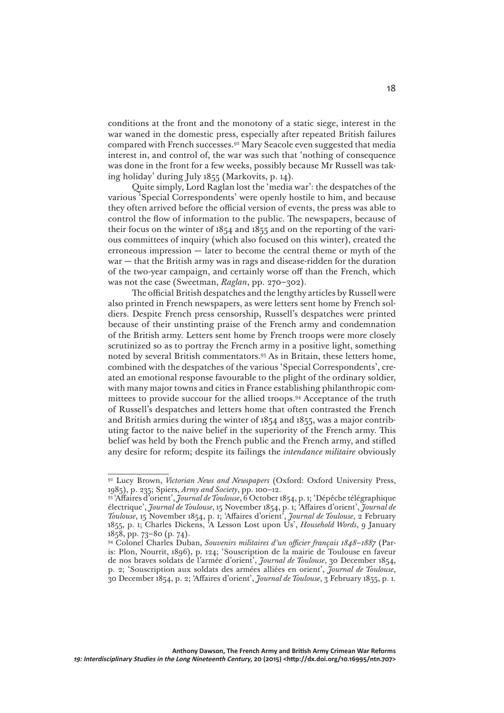conditions at the front and the monotony of a static siege, interest in the war waned in the domestic press, especially after repeated British failures compared with French successes.92 Mary Seacole even suggested that media interest in, and control of, the war was such that 'nothing of consequence was done in the front for a few weeks, possibly because Mr Russell was taking holiday' during July 1855 (Markovits, p. 14).

Quite simply, Lord Raglan lost the 'media war': the despatches of the various 'Special Correspondents' were openly hostile to him, and because they often arrived before the official version of events, the press was able to control the flow of information to the public. The newspapers, because of their focus on the winter of 1854 and 1855 and on the reporting of the various committees of inquiry (which also focused on this winter), created the erroneous impression — later to become the central theme or myth of the war — that the British army was in rags and disease-ridden for the duration of the two-year campaign, and certainly worse off than the French, which was not the case (Sweetman, *Raglan*, pp. 270–302).

The official British despatches and the lengthy articles by Russell were also printed in French newspapers, as were letters sent home by French soldiers. Despite French press censorship, Russell's despatches were printed because of their unstinting praise of the French army and condemnation of the British army. Letters sent home by French troops were more closely scrutinized so as to portray the French army in a positive light, something noted by several British commentators.93 As in Britain, these letters home, combined with the despatches of the various 'Special Correspondents', created an emotional response favourable to the plight of the ordinary soldier, with many major towns and cities in France establishing philanthropic committees to provide succour for the allied troops.94 Acceptance of the truth of Russell's despatches and letters home that often contrasted the French and British armies during the winter of 1854 and 1855, was a major contributing factor to the naive belief in the superiority of the French army. This belief was held by both the French public and the French army, and stifled any desire for reform; despite its failings the *intendance militaire* obviously

<sup>92</sup> Lucy Brown, *Victorian News and Newspapers* (Oxford: Oxford University Press, 1985), p. 235; Spiers, *Army and Society*, pp. 100–12.

<sup>93 &#</sup>x27;Affaires d'orient', *Journal de Toulouse*, 6 October 1854, p. 1; 'Dépêche télégraphique électrique', *Journal de Toulouse*, 15 November 1854, p. 1; 'Affaires d'orient', *Journal de Toulouse*, 15 November 1854, p. 1; 'Affaires d'orient', *Journal de Toulouse*, 2 February 1855, p. 1; Charles Dickens, 'A Lesson Lost upon Us', *Household Words*, 9 January 1858, pp. 73–80 (p. 74).

<sup>94</sup> Colonel Charles Duban, *Souvenirs militaires d'un officier français 1848–1887* (Paris: Plon, Nourrit, 1896), p. 124; 'Souscription de la mairie de Toulouse en faveur de nos braves soldats de l'armée d'orient', *Journal de Toulouse*, 30 December 1854, p. 2; 'Souscription aux soldats des armées alliées en orient', *Journal de Toulouse*, 30 December 1854, p. 2; 'Affaires d'orient', *Journal de Toulouse*, 3 February 1855, p. 1.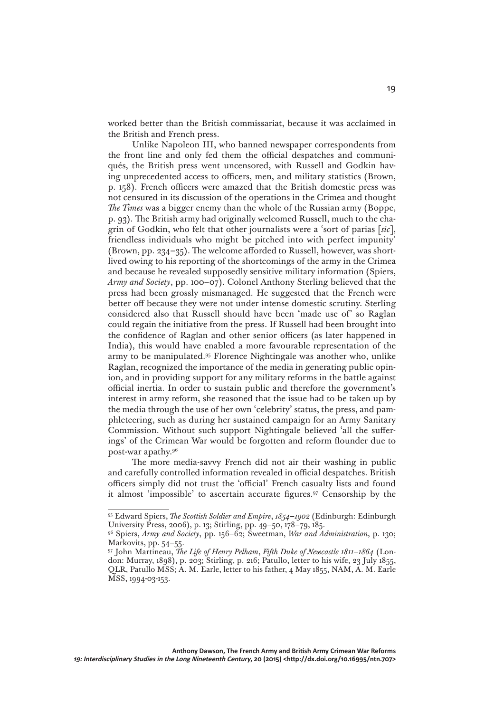worked better than the British commissariat, because it was acclaimed in the British and French press.

Unlike Napoleon III, who banned newspaper correspondents from the front line and only fed them the official despatches and communiqués, the British press went uncensored, with Russell and Godkin having unprecedented access to officers, men, and military statistics (Brown, p. 158). French officers were amazed that the British domestic press was not censured in its discussion of the operations in the Crimea and thought *The Times* was a bigger enemy than the whole of the Russian army (Boppe, p. 93). The British army had originally welcomed Russell, much to the chagrin of Godkin, who felt that other journalists were a 'sort of parias [*sic*], friendless individuals who might be pitched into with perfect impunity' (Brown, pp. 234–35). The welcome afforded to Russell, however, was shortlived owing to his reporting of the shortcomings of the army in the Crimea and because he revealed supposedly sensitive military information (Spiers, *Army and Society*, pp. 100–07). Colonel Anthony Sterling believed that the press had been grossly mismanaged. He suggested that the French were better off because they were not under intense domestic scrutiny. Sterling considered also that Russell should have been 'made use of' so Raglan could regain the initiative from the press. If Russell had been brought into the confidence of Raglan and other senior officers (as later happened in India), this would have enabled a more favourable representation of the army to be manipulated.95 Florence Nightingale was another who, unlike Raglan, recognized the importance of the media in generating public opinion, and in providing support for any military reforms in the battle against official inertia. In order to sustain public and therefore the government's interest in army reform, she reasoned that the issue had to be taken up by the media through the use of her own 'celebrity' status, the press, and pamphleteering, such as during her sustained campaign for an Army Sanitary Commission. Without such support Nightingale believed 'all the sufferings' of the Crimean War would be forgotten and reform flounder due to post-war apathy.96

The more media-savvy French did not air their washing in public and carefully controlled information revealed in official despatches. British officers simply did not trust the 'official' French casualty lists and found it almost 'impossible' to ascertain accurate figures.97 Censorship by the

<sup>95</sup> Edward Spiers, *The Scottish Soldier and Empire*, *1854–1902* (Edinburgh: Edinburgh University Press, 2006), p. 13; Stirling, pp. 49–50, 178–79, 185.

<sup>96</sup> Spiers, *Army and Society*, pp. 156–62; Sweetman, *War and Administration*, p. 130; Markovits, pp. 54–55.

<sup>97</sup> John Martineau, *The Life of Henry Pelham*, *Fifth Duke of Newcastle 1811–1864* (London: Murray, 1898), p. 203; Stirling, p. 216; Patullo, letter to his wife, 23 July 1855, QLR, Patullo MSS; A. M. Earle, letter to his father, 4 May 1855, NAM, A. M. Earle MSS, 1994-03-153.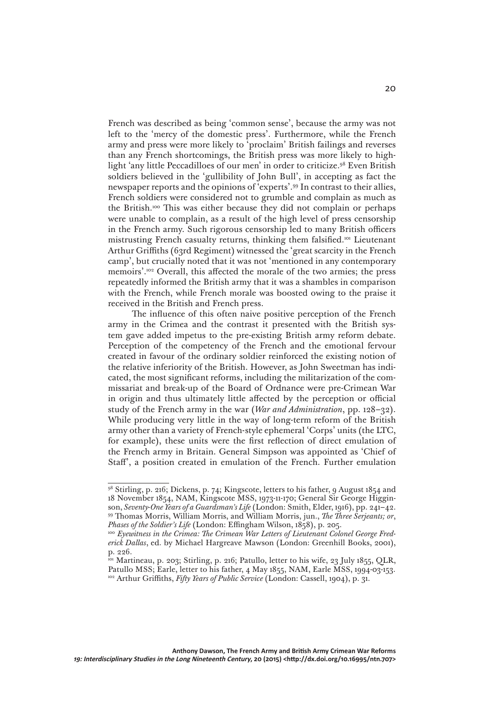French was described as being 'common sense', because the army was not left to the 'mercy of the domestic press'. Furthermore, while the French army and press were more likely to 'proclaim' British failings and reverses than any French shortcomings, the British press was more likely to highlight 'any little Peccadilloes of our men' in order to criticize.98 Even British soldiers believed in the 'gullibility of John Bull', in accepting as fact the newspaper reports and the opinions of 'experts'.99 In contrast to their allies, French soldiers were considered not to grumble and complain as much as the British.100 This was either because they did not complain or perhaps were unable to complain, as a result of the high level of press censorship in the French army. Such rigorous censorship led to many British officers mistrusting French casualty returns, thinking them falsified.101 Lieutenant Arthur Griffiths (63rd Regiment) witnessed the 'great scarcity in the French camp', but crucially noted that it was not 'mentioned in any contemporary memoirs'.102 Overall, this affected the morale of the two armies; the press repeatedly informed the British army that it was a shambles in comparison with the French, while French morale was boosted owing to the praise it received in the British and French press.

The influence of this often naive positive perception of the French army in the Crimea and the contrast it presented with the British system gave added impetus to the pre-existing British army reform debate. Perception of the competency of the French and the emotional fervour created in favour of the ordinary soldier reinforced the existing notion of the relative inferiority of the British. However, as John Sweetman has indicated, the most significant reforms, including the militarization of the commissariat and break-up of the Board of Ordnance were pre-Crimean War in origin and thus ultimately little affected by the perception or official study of the French army in the war (*War and Administration*, pp. 128–32). While producing very little in the way of long-term reform of the British army other than a variety of French-style ephemeral 'Corps' units (the LTC, for example), these units were the first reflection of direct emulation of the French army in Britain. General Simpson was appointed as 'Chief of Staff', a position created in emulation of the French. Further emulation

<sup>98</sup> Stirling, p. 216; Dickens, p. 74; Kingscote, letters to his father, 9 August 1854 and 18 November 1854, NAM, Kingscote MSS, 1973-11-170; General Sir George Higginson, *Seventy-One Years of a Guardsman's Life* (London: Smith, Elder, 1916), pp. 241–42. 99 Thomas Morris, William Morris, and William Morris, jun., *The Three Serjeants; or*, *Phases of the Soldier's Life* (London: Effingham Wilson, 1858), p. 205.

<sup>&</sup>lt;sup>100</sup> Eyewitness in the Crimea: The Crimean War Letters of Lieutenant Colonel George Fred*erick Dallas*, ed. by Michael Hargreave Mawson (London: Greenhill Books, 2001), p. 226.

<sup>101</sup> Martineau, p. 203; Stirling, p. 216; Patullo, letter to his wife, 23 July 1855, QLR, Patullo MSS; Earle, letter to his father, 4 May 1855, NAM, Earle MSS, 1994-03-153. 102 Arthur Griffiths, *Fifty Years of Public Service* (London: Cassell, 1904), p. 31.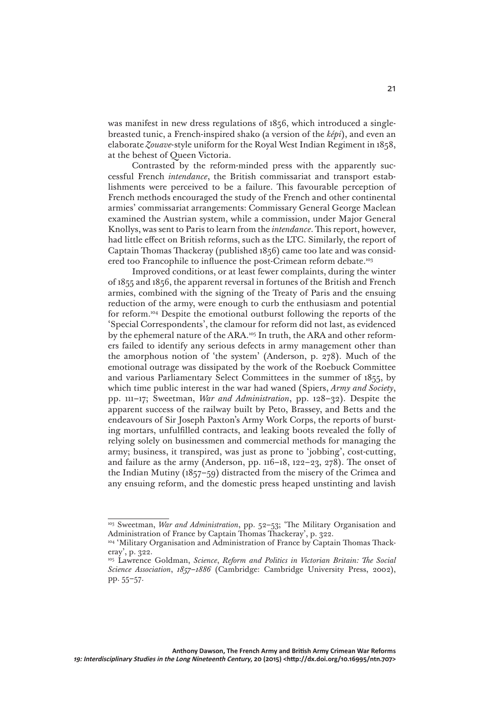was manifest in new dress regulations of 1856, which introduced a singlebreasted tunic, a French-inspired shako (a version of the *képi*), and even an elaborate *Zouave*-style uniform for the Royal West Indian Regiment in 1858, at the behest of Queen Victoria.

Contrasted by the reform-minded press with the apparently successful French *intendance*, the British commissariat and transport establishments were perceived to be a failure. This favourable perception of French methods encouraged the study of the French and other continental armies' commissariat arrangements: Commissary General George Maclean examined the Austrian system, while a commission, under Major General Knollys, was sent to Paris to learn from the *intendance*. This report, however, had little effect on British reforms, such as the LTC. Similarly, the report of Captain Thomas Thackeray (published 1856) came too late and was considered too Francophile to influence the post-Crimean reform debate.<sup>103</sup>

Improved conditions, or at least fewer complaints, during the winter of 1855 and 1856, the apparent reversal in fortunes of the British and French armies, combined with the signing of the Treaty of Paris and the ensuing reduction of the army, were enough to curb the enthusiasm and potential for reform.104 Despite the emotional outburst following the reports of the 'Special Correspondents', the clamour for reform did not last, as evidenced by the ephemeral nature of the ARA.105 In truth, the ARA and other reformers failed to identify any serious defects in army management other than the amorphous notion of 'the system' (Anderson, p. 278). Much of the emotional outrage was dissipated by the work of the Roebuck Committee and various Parliamentary Select Committees in the summer of 1855, by which time public interest in the war had waned (Spiers, *Army and Society*, pp. 111–17; Sweetman, *War and Administration*, pp. 128–32). Despite the apparent success of the railway built by Peto, Brassey, and Betts and the endeavours of Sir Joseph Paxton's Army Work Corps, the reports of bursting mortars, unfulfilled contracts, and leaking boots revealed the folly of relying solely on businessmen and commercial methods for managing the army; business, it transpired, was just as prone to 'jobbing', cost-cutting, and failure as the army (Anderson, pp.  $116-18$ ,  $122-23$ ,  $278$ ). The onset of the Indian Mutiny (1857–59) distracted from the misery of the Crimea and any ensuing reform, and the domestic press heaped unstinting and lavish

<sup>&</sup>lt;sup>103</sup> Sweetman, *War and Administration*, pp. 52–53; 'The Military Organisation and Administration of France by Captain Thomas Thackeray', p. 322.

<sup>&</sup>lt;sup>104</sup> 'Military Organisation and Administration of France by Captain Thomas Thackeray', p. 322.

<sup>105</sup> Lawrence Goldman, *Science*, *Reform and Politics in Victorian Britain: The Social Science Association*, *1857–1886* (Cambridge: Cambridge University Press, 2002), pp. 55–57.